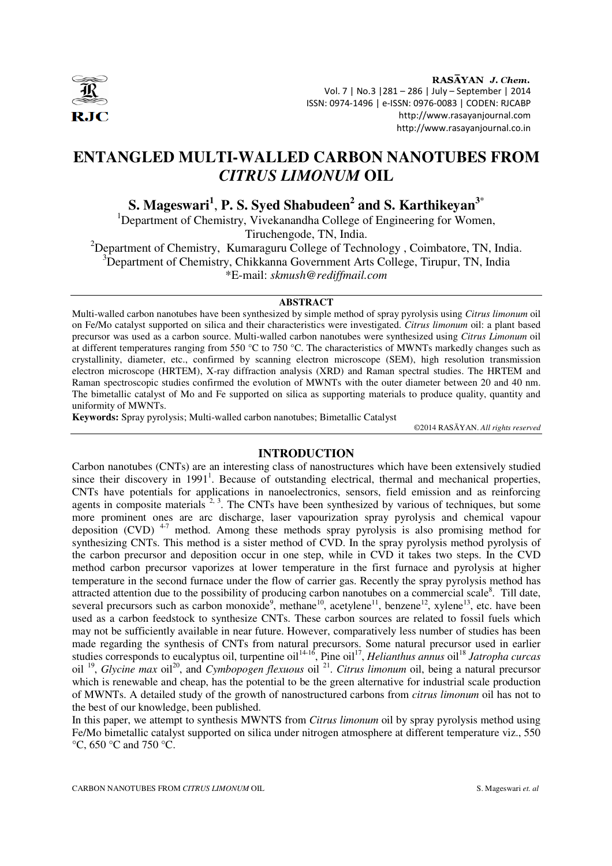

RASĀYAN J. Chem. Vol. 7 | No.3 |281 – 286 | July – September | 2014 ISSN: 0974-1496 | e-ISSN: 0976-0083 | CODEN: RJCABP http://www.rasayanjournal.com http://www.rasayanjournal.co.in

# **ENTANGLED MULTI-WALLED CARBON NANOTUBES FROM**  *CITRUS LIMONUM* **OIL**

**S. Mageswari<sup>1</sup>** , **P. S. Syed Shabudeen<sup>2</sup> and S. Karthikeyan<sup>3</sup>**\*

<sup>1</sup>Department of Chemistry, Vivekanandha College of Engineering for Women, Tiruchengode, TN, India.

<sup>2</sup>Department of Chemistry, Kumaraguru College of Technology, Coimbatore, TN, India. <sup>3</sup>Department of Chemistry, Chikkanna Government Arts College, Tirupur, TN, India \*E-mail: *skmush@rediffmail.com*

# **ABSTRACT**

Multi-walled carbon nanotubes have been synthesized by simple method of spray pyrolysis using *Citrus limonum* oil on Fe/Mo catalyst supported on silica and their characteristics were investigated. *Citrus limonum* oil: a plant based precursor was used as a carbon source. Multi-walled carbon nanotubes were synthesized using *Citrus Limonum* oil at different temperatures ranging from 550 °C to 750 °C. The characteristics of MWNTs markedly changes such as crystallinity, diameter, etc., confirmed by scanning electron microscope (SEM), high resolution transmission electron microscope (HRTEM), X-ray diffraction analysis (XRD) and Raman spectral studies. The HRTEM and Raman spectroscopic studies confirmed the evolution of MWNTs with the outer diameter between 20 and 40 nm. The bimetallic catalyst of Mo and Fe supported on silica as supporting materials to produce quality, quantity and uniformity of MWNTs.

**Keywords:** Spray pyrolysis; Multi-walled carbon nanotubes; Bimetallic Catalyst

©2014 RASĀYAN. *All rights reserved*

## **INTRODUCTION**

Carbon nanotubes (CNTs) are an interesting class of nanostructures which have been extensively studied since their discovery in  $1991<sup>1</sup>$ . Because of outstanding electrical, thermal and mechanical properties, CNTs have potentials for applications in nanoelectronics, sensors, field emission and as reinforcing agents in composite materials  $2^{2}$ ,  $3$ . The CNTs have been synthesized by various of techniques, but some more prominent ones are arc discharge, laser vapourization spray pyrolysis and chemical vapour deposition (CVD)<sup>4-7</sup> method. Among these methods spray pyrolysis is also promising method for synthesizing CNTs. This method is a sister method of CVD. In the spray pyrolysis method pyrolysis of the carbon precursor and deposition occur in one step, while in CVD it takes two steps. In the CVD method carbon precursor vaporizes at lower temperature in the first furnace and pyrolysis at higher temperature in the second furnace under the flow of carrier gas. Recently the spray pyrolysis method has attracted attention due to the possibility of producing carbon nanotubes on a commercial scale<sup>8</sup>. Till date, several precursors such as carbon monoxide<sup>9</sup>, methane<sup>10</sup>, acetylene<sup>11</sup>, benzene<sup>12</sup>, xylene<sup>13</sup>, etc. have been used as a carbon feedstock to synthesize CNTs. These carbon sources are related to fossil fuels which may not be sufficiently available in near future. However, comparatively less number of studies has been made regarding the synthesis of CNTs from natural precursors. Some natural precursor used in earlier studies corresponds to eucalyptus oil, turpentine oil<sup>14-16</sup>, Pine oil<sup>17</sup>, *Helianthus annus* oil<sup>18</sup> *Jatropha curcas* oil <sup>19</sup>, *Glycine max* oil<sup>20</sup>, and *Cymbopogen flexuous* oil <sup>21</sup>. *Citrus limonum* oil, being a natural precursor which is renewable and cheap, has the potential to be the green alternative for industrial scale production of MWNTs. A detailed study of the growth of nanostructured carbons from *citrus limonum* oil has not to the best of our knowledge, been published.

In this paper, we attempt to synthesis MWNTS from *Citrus limonum* oil by spray pyrolysis method using Fe/Mo bimetallic catalyst supported on silica under nitrogen atmosphere at different temperature viz., 550 °C, 650 °C and 750 °C.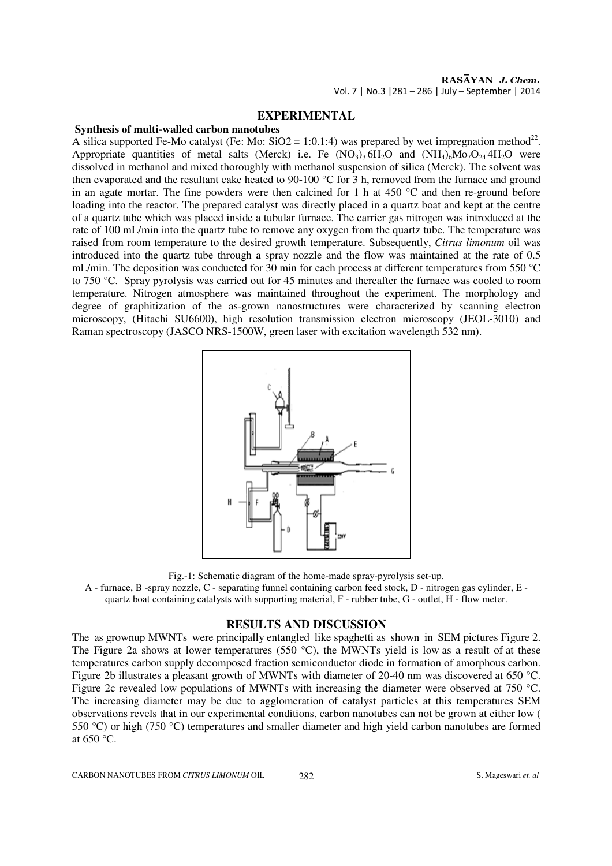## **EXPERIMENTAL**

## **Synthesis of multi-walled carbon nanotubes**

A silica supported Fe-Mo catalyst (Fe: Mo:  $SiO2 = 1:0.1:4$ ) was prepared by wet impregnation method<sup>22</sup>. Appropriate quantities of metal salts (Merck) i.e. Fe  $(NO<sub>3</sub>)<sub>3</sub>6H<sub>2</sub>O$  and  $(NH<sub>4</sub>)<sub>6</sub>Mo<sub>7</sub>O<sub>24</sub>4H<sub>2</sub>O$  were dissolved in methanol and mixed thoroughly with methanol suspension of silica (Merck). The solvent was then evaporated and the resultant cake heated to 90-100 °C for 3 h, removed from the furnace and ground in an agate mortar. The fine powders were then calcined for 1 h at 450 °C and then re-ground before loading into the reactor. The prepared catalyst was directly placed in a quartz boat and kept at the centre of a quartz tube which was placed inside a tubular furnace. The carrier gas nitrogen was introduced at the rate of 100 mL/min into the quartz tube to remove any oxygen from the quartz tube. The temperature was raised from room temperature to the desired growth temperature. Subsequently, *Citrus limonum* oil was introduced into the quartz tube through a spray nozzle and the flow was maintained at the rate of 0.5 mL/min. The deposition was conducted for 30 min for each process at different temperatures from 550 °C to 750 °C. Spray pyrolysis was carried out for 45 minutes and thereafter the furnace was cooled to room temperature. Nitrogen atmosphere was maintained throughout the experiment. The morphology and degree of graphitization of the as-grown nanostructures were characterized by scanning electron microscopy, (Hitachi SU6600), high resolution transmission electron microscopy (JEOL-3010) and Raman spectroscopy (JASCO NRS-1500W, green laser with excitation wavelength 532 nm).



Fig.-1: Schematic diagram of the home-made spray-pyrolysis set-up.

A - furnace, B -spray nozzle, C - separating funnel containing carbon feed stock, D - nitrogen gas cylinder, E quartz boat containing catalysts with supporting material, F - rubber tube, G - outlet, H - flow meter.

#### **RESULTS AND DISCUSSION**

The as grownup MWNTs were principally entangled like spaghetti as shown in SEM pictures Figure 2. The Figure 2a shows at lower temperatures (550  $^{\circ}$ C), the MWNTs yield is low as a result of at these temperatures carbon supply decomposed fraction semiconductor diode in formation of amorphous carbon. Figure 2b illustrates a pleasant growth of MWNTs with diameter of 20-40 nm was discovered at 650 °C. Figure 2c revealed low populations of MWNTs with increasing the diameter were observed at 750 °C. The increasing diameter may be due to agglomeration of catalyst particles at this temperatures SEM observations revels that in our experimental conditions, carbon nanotubes can not be grown at either low ( 550 °C) or high (750 °C) temperatures and smaller diameter and high yield carbon nanotubes are formed at 650 °C.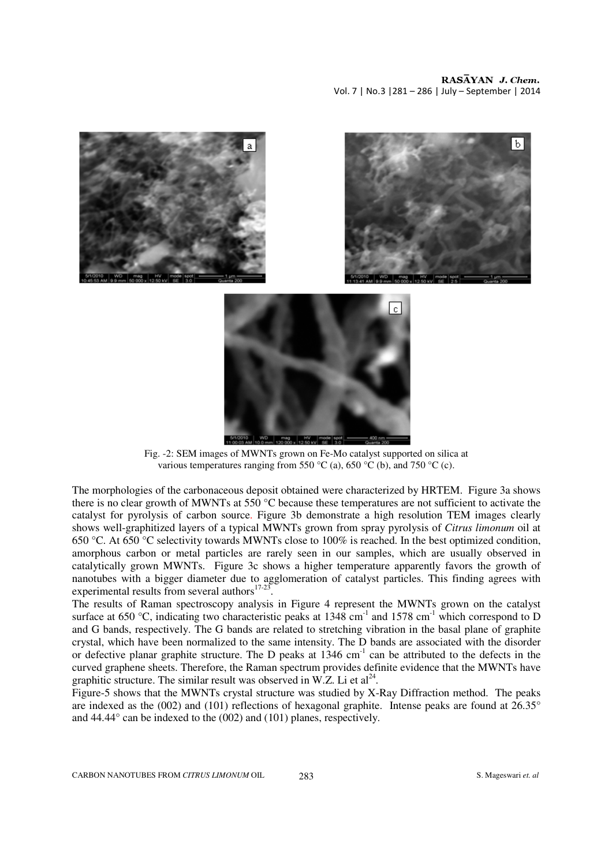



Fig. -2: SEM images of MWNTs grown on Fe-Mo catalyst supported on silica at various temperatures ranging from 550 °C (a), 650 °C (b), and 750 °C (c).

The morphologies of the carbonaceous deposit obtained were characterized by HRTEM. Figure 3a shows there is no clear growth of MWNTs at 550 °C because these temperatures are not sufficient to activate the catalyst for pyrolysis of carbon source. Figure 3b demonstrate a high resolution TEM images clearly shows well-graphitized layers of a typical MWNTs grown from spray pyrolysis of *Citrus limonum* oil at 650 °C. At 650 °C selectivity towards MWNTs close to 100% is reached. In the best optimized condition, amorphous carbon or metal particles are rarely seen in our samples, which are usually observed in catalytically grown MWNTs. Figure 3c shows a higher temperature apparently favors the growth of nanotubes with a bigger diameter due to agglomeration of catalyst particles. This finding agrees with experimental results from several authors $17-23$ .

The results of Raman spectroscopy analysis in Figure 4 represent the MWNTs grown on the catalyst surface at 650 °C, indicating two characteristic peaks at  $1348 \text{ cm}^{-1}$  and  $1578 \text{ cm}^{-1}$  which correspond to D and G bands, respectively. The G bands are related to stretching vibration in the basal plane of graphite crystal, which have been normalized to the same intensity. The D bands are associated with the disorder or defective planar graphite structure. The D peaks at  $1346 \text{ cm}^{-1}$  can be attributed to the defects in the curved graphene sheets. Therefore, the Raman spectrum provides definite evidence that the MWNTs have graphitic structure. The similar result was observed in W.Z. Li et  $al<sup>24</sup>$ .

Figure-5 shows that the MWNTs crystal structure was studied by X-Ray Diffraction method. The peaks are indexed as the (002) and (101) reflections of hexagonal graphite. Intense peaks are found at 26.35° and 44.44° can be indexed to the (002) and (101) planes, respectively.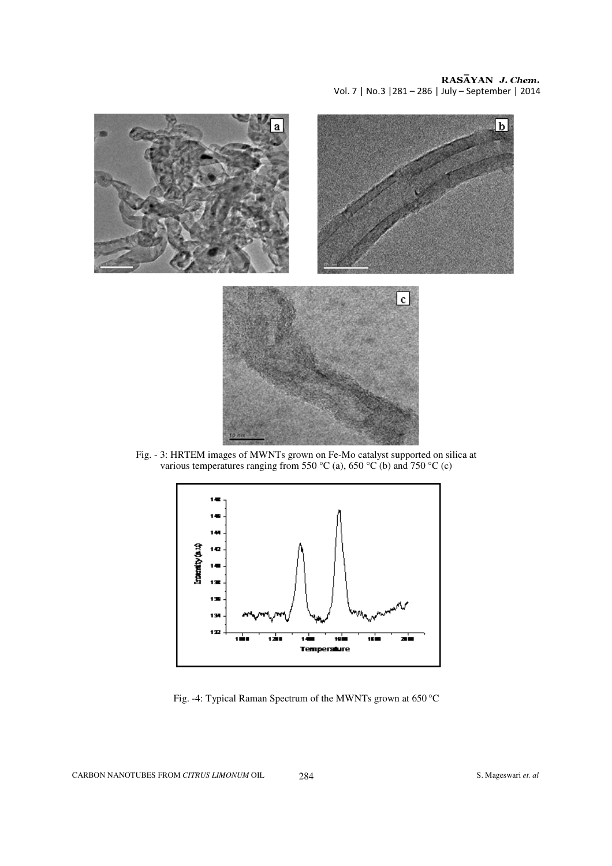Vol. 7 | No.3 |281 – 286 | July – September | 2014



Fig. - 3: HRTEM images of MWNTs grown on Fe-Mo catalyst supported on silica at various temperatures ranging from 550 °C (a), 650 °C (b) and 750 °C (c)



Fig. -4: Typical Raman Spectrum of the MWNTs grown at 650 °C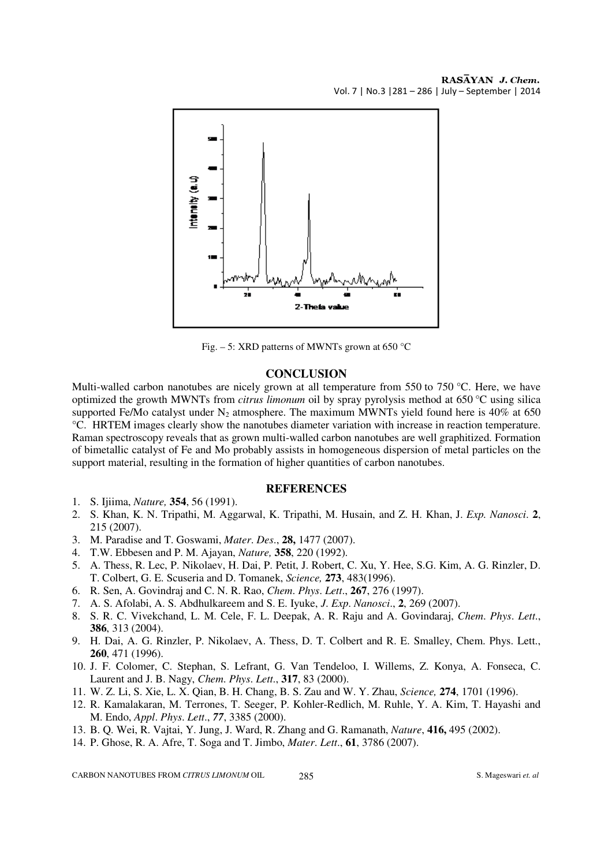

Fig. – 5: XRD patterns of MWNTs grown at  $650^{\circ}$ C

#### **CONCLUSION**

Multi-walled carbon nanotubes are nicely grown at all temperature from 550 to 750 °C. Here, we have optimized the growth MWNTs from *citrus limonum* oil by spray pyrolysis method at 650 °C using silica supported Fe/Mo catalyst under  $N_2$  atmosphere. The maximum MWNTs yield found here is 40% at 650 °C. HRTEM images clearly show the nanotubes diameter variation with increase in reaction temperature. Raman spectroscopy reveals that as grown multi-walled carbon nanotubes are well graphitized. Formation of bimetallic catalyst of Fe and Mo probably assists in homogeneous dispersion of metal particles on the support material, resulting in the formation of higher quantities of carbon nanotubes.

### **REFERENCES**

- 1. S. Ijiima, *Nature,* **354**, 56 (1991).
- 2. S. Khan, K. N. Tripathi, M. Aggarwal, K. Tripathi, M. Husain, and Z. H. Khan, J. *Exp. Nanosci*. **2**, 215 (2007).
- 3. M. Paradise and T. Goswami, *Mater*. *Des*., **28,** 1477 (2007).
- 4. T.W. Ebbesen and P. M. Ajayan, *Nature,* **358**, 220 (1992).
- 5. A. Thess, R. Lec, P. Nikolaev, H. Dai, P. Petit, J. Robert, C. Xu, Y. Hee, S.G. Kim, A. G. Rinzler, D. T. Colbert, G. E. Scuseria and D. Tomanek, *Science,* **273**, 483(1996).
- 6. R. Sen, A. Govindraj and C. N. R. Rao, *Chem*. *Phys*. *Lett*., **267**, 276 (1997).
- 7. A. S. Afolabi, A. S. Abdhulkareem and S. E. Iyuke, *J*. *Exp*. *Nanosci*., **2**, 269 (2007).
- 8. S. R. C. Vivekchand, L. M. Cele, F. L. Deepak, A. R. Raju and A. Govindaraj, *Chem*. *Phys*. *Lett*., **386**, 313 (2004).
- 9. H. Dai, A. G. Rinzler, P. Nikolaev, A. Thess, D. T. Colbert and R. E. Smalley, Chem. Phys. Lett., **260**, 471 (1996).
- 10. J. F. Colomer, C. Stephan, S. Lefrant, G. Van Tendeloo, I. Willems, Z. Konya, A. Fonseca, C. Laurent and J. B. Nagy, *Chem*. *Phys*. *Lett*., **317**, 83 (2000).
- 11. W. Z. Li, S. Xie, L. X. Qian, B. H. Chang, B. S. Zau and W. Y. Zhau, *Science,* **274**, 1701 (1996).
- 12. R. Kamalakaran, M. Terrones, T. Seeger, P. Kohler-Redlich, M. Ruhle, Y. A. Kim, T. Hayashi and M. Endo, *Appl*. *Phys*. *Lett*., *77*, 3385 (2000).
- 13. B. Q. Wei, R. Vajtai, Y. Jung, J. Ward, R. Zhang and G. Ramanath, *Nature*, **416,** 495 (2002).
- 14. P. Ghose, R. A. Afre, T. Soga and T. Jimbo, *Mater*. *Lett*., **61**, 3786 (2007).

CARBON NANOTUBES FROM *CITRUS LIMONUM* OIL 285 S. Mageswari *et. al*